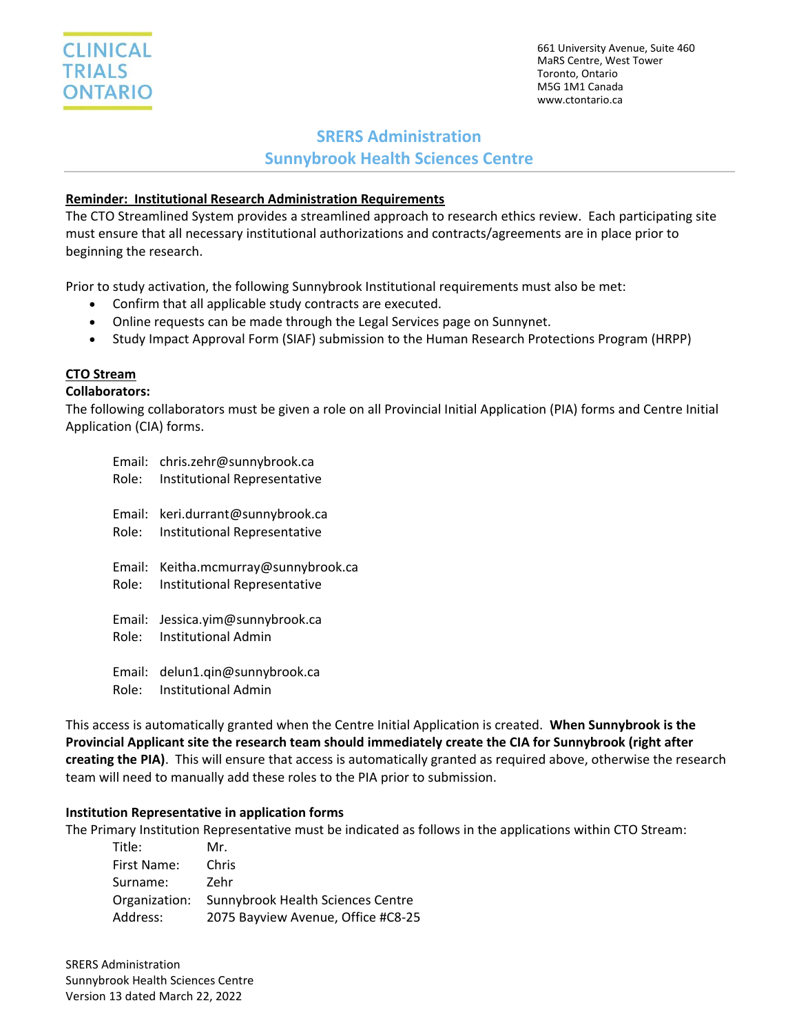

661 University Avenue, Suite 460 MaRS Centre, West Tower Toronto, Ontario M5G 1M1 Canada www.ctontario.ca

# **SRERS Administration**

**Sunnybrook Health Sciences Centre**

## **Reminder: Institutional Research Administration Requirements**

The CTO Streamlined System provides a streamlined approach to research ethics review. Each participating site must ensure that all necessary institutional authorizations and contracts/agreements are in place prior to beginning the research.

Prior to study activation, the following Sunnybrook Institutional requirements must also be met:

- Confirm that all applicable study contracts are executed.
- Online requests can be made through the Legal Services page on Sunnynet.
- Study Impact Approval Form (SIAF) submission to the Human Research Protections Program (HRPP)

## **CTO Stream**

#### **Collaborators:**

The following collaborators must be given a role on all Provincial Initial Application (PIA) forms and Centre Initial Application (CIA) forms.

| Email: | chris.zehr@sunnybrook.ca            |
|--------|-------------------------------------|
| Role:  | <b>Institutional Representative</b> |
| Email: | keri.durrant@sunnybrook.ca          |
| Role:  | Institutional Representative        |
| Email: | Keitha.mcmurray@sunnybrook.ca       |
| Role:  | <b>Institutional Representative</b> |
| Email: | Jessica.yim@sunnybrook.ca           |
| Role:  | Institutional Admin                 |
| Email: | delun1.qin@sunnybrook.ca            |
| Role:  | Institutional Admin                 |

This access is automatically granted when the Centre Initial Application is created. **When Sunnybrook is the Provincial Applicant site the research team should immediately create the CIA for Sunnybrook (right after creating the PIA)**. This will ensure that access is automatically granted as required above, otherwise the research team will need to manually add these roles to the PIA prior to submission.

#### **Institution Representative in application forms**

The Primary Institution Representative must be indicated as follows in the applications within CTO Stream:

| Title:        | Mr.                                |
|---------------|------------------------------------|
| First Name:   | Chris                              |
| Surname:      | Zehr                               |
| Organization: | Sunnybrook Health Sciences Centre  |
| Address:      | 2075 Bayview Avenue, Office #C8-25 |

SRERS Administration Sunnybrook Health Sciences Centre Version 13 dated March 22, 2022